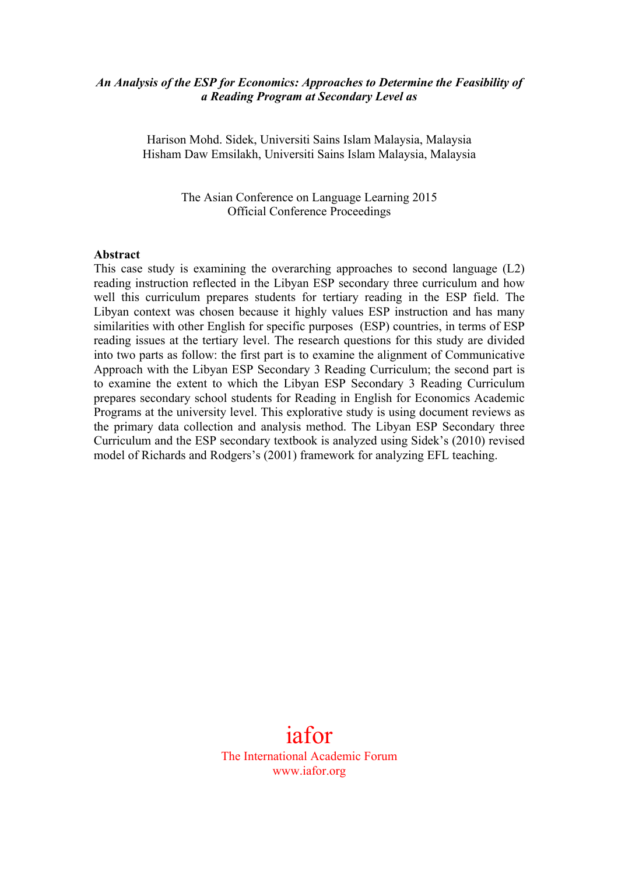# *An Analysis of the ESP for Economics: Approaches to Determine the Feasibility of a Reading Program at Secondary Level as*

Harison Mohd. Sidek, Universiti Sains Islam Malaysia, Malaysia Hisham Daw Emsilakh, Universiti Sains Islam Malaysia, Malaysia

> The Asian Conference on Language Learning 2015 Official Conference Proceedings

#### **Abstract**

This case study is examining the overarching approaches to second language (L2) reading instruction reflected in the Libyan ESP secondary three curriculum and how well this curriculum prepares students for tertiary reading in the ESP field. The Libyan context was chosen because it highly values ESP instruction and has many similarities with other English for specific purposes (ESP) countries, in terms of ESP reading issues at the tertiary level. The research questions for this study are divided into two parts as follow: the first part is to examine the alignment of Communicative Approach with the Libyan ESP Secondary 3 Reading Curriculum; the second part is to examine the extent to which the Libyan ESP Secondary 3 Reading Curriculum prepares secondary school students for Reading in English for Economics Academic Programs at the university level. This explorative study is using document reviews as the primary data collection and analysis method. The Libyan ESP Secondary three Curriculum and the ESP secondary textbook is analyzed using Sidek's (2010) revised model of Richards and Rodgers's (2001) framework for analyzing EFL teaching.

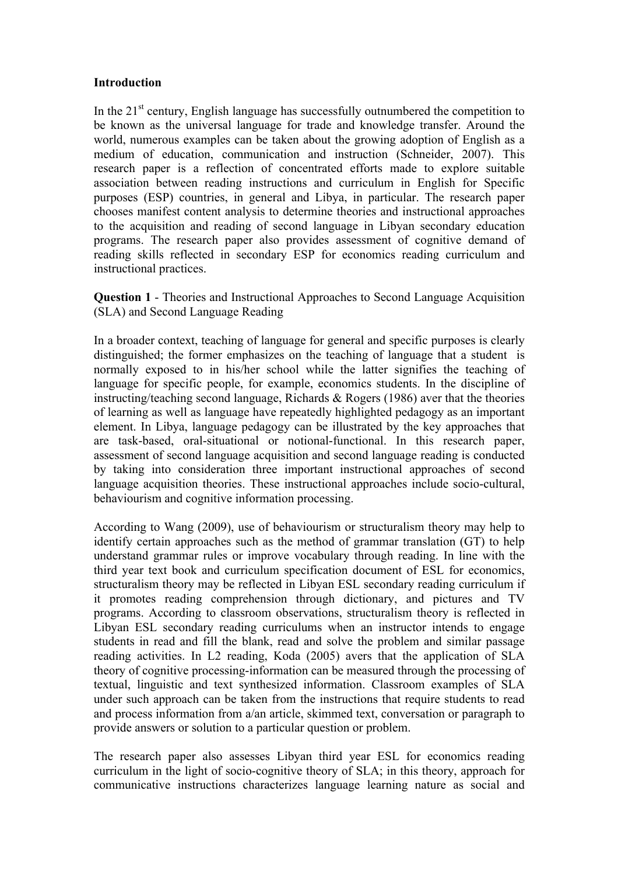## **Introduction**

In the  $21<sup>st</sup>$  century, English language has successfully outnumbered the competition to be known as the universal language for trade and knowledge transfer. Around the world, numerous examples can be taken about the growing adoption of English as a medium of education, communication and instruction (Schneider, 2007). This research paper is a reflection of concentrated efforts made to explore suitable association between reading instructions and curriculum in English for Specific purposes (ESP) countries, in general and Libya, in particular. The research paper chooses manifest content analysis to determine theories and instructional approaches to the acquisition and reading of second language in Libyan secondary education programs. The research paper also provides assessment of cognitive demand of reading skills reflected in secondary ESP for economics reading curriculum and instructional practices.

**Question 1** - Theories and Instructional Approaches to Second Language Acquisition (SLA) and Second Language Reading

In a broader context, teaching of language for general and specific purposes is clearly distinguished; the former emphasizes on the teaching of language that a student is normally exposed to in his/her school while the latter signifies the teaching of language for specific people, for example, economics students. In the discipline of instructing/teaching second language, Richards & Rogers (1986) aver that the theories of learning as well as language have repeatedly highlighted pedagogy as an important element. In Libya, language pedagogy can be illustrated by the key approaches that are task-based, oral-situational or notional-functional. In this research paper, assessment of second language acquisition and second language reading is conducted by taking into consideration three important instructional approaches of second language acquisition theories. These instructional approaches include socio-cultural, behaviourism and cognitive information processing.

According to Wang (2009), use of behaviourism or structuralism theory may help to identify certain approaches such as the method of grammar translation (GT) to help understand grammar rules or improve vocabulary through reading. In line with the third year text book and curriculum specification document of ESL for economics, structuralism theory may be reflected in Libyan ESL secondary reading curriculum if it promotes reading comprehension through dictionary, and pictures and TV programs. According to classroom observations, structuralism theory is reflected in Libyan ESL secondary reading curriculums when an instructor intends to engage students in read and fill the blank, read and solve the problem and similar passage reading activities. In L2 reading, Koda (2005) avers that the application of SLA theory of cognitive processing-information can be measured through the processing of textual, linguistic and text synthesized information. Classroom examples of SLA under such approach can be taken from the instructions that require students to read and process information from a/an article, skimmed text, conversation or paragraph to provide answers or solution to a particular question or problem.

The research paper also assesses Libyan third year ESL for economics reading curriculum in the light of socio-cognitive theory of SLA; in this theory, approach for communicative instructions characterizes language learning nature as social and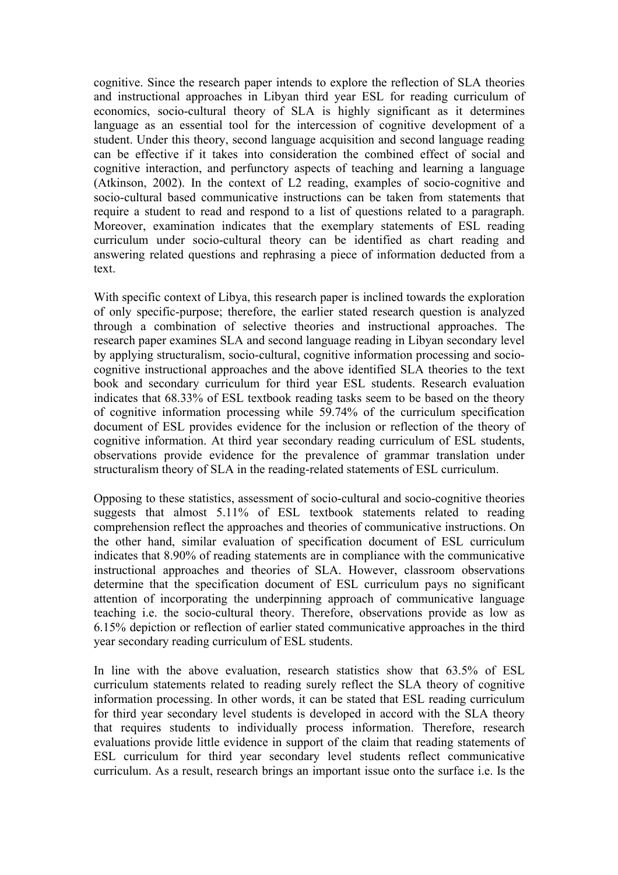cognitive. Since the research paper intends to explore the reflection of SLA theories and instructional approaches in Libyan third year ESL for reading curriculum of economics, socio-cultural theory of SLA is highly significant as it determines language as an essential tool for the intercession of cognitive development of a student. Under this theory, second language acquisition and second language reading can be effective if it takes into consideration the combined effect of social and cognitive interaction, and perfunctory aspects of teaching and learning a language (Atkinson, 2002). In the context of L2 reading, examples of socio-cognitive and socio-cultural based communicative instructions can be taken from statements that require a student to read and respond to a list of questions related to a paragraph. Moreover, examination indicates that the exemplary statements of ESL reading curriculum under socio-cultural theory can be identified as chart reading and answering related questions and rephrasing a piece of information deducted from a text.

With specific context of Libya, this research paper is inclined towards the exploration of only specific-purpose; therefore, the earlier stated research question is analyzed through a combination of selective theories and instructional approaches. The research paper examines SLA and second language reading in Libyan secondary level by applying structuralism, socio-cultural, cognitive information processing and sociocognitive instructional approaches and the above identified SLA theories to the text book and secondary curriculum for third year ESL students. Research evaluation indicates that 68.33% of ESL textbook reading tasks seem to be based on the theory of cognitive information processing while 59.74% of the curriculum specification document of ESL provides evidence for the inclusion or reflection of the theory of cognitive information. At third year secondary reading curriculum of ESL students, observations provide evidence for the prevalence of grammar translation under structuralism theory of SLA in the reading-related statements of ESL curriculum.

Opposing to these statistics, assessment of socio-cultural and socio-cognitive theories suggests that almost 5.11% of ESL textbook statements related to reading comprehension reflect the approaches and theories of communicative instructions. On the other hand, similar evaluation of specification document of ESL curriculum indicates that 8.90% of reading statements are in compliance with the communicative instructional approaches and theories of SLA. However, classroom observations determine that the specification document of ESL curriculum pays no significant attention of incorporating the underpinning approach of communicative language teaching i.e. the socio-cultural theory. Therefore, observations provide as low as 6.15% depiction or reflection of earlier stated communicative approaches in the third year secondary reading curriculum of ESL students.

In line with the above evaluation, research statistics show that 63.5% of ESL curriculum statements related to reading surely reflect the SLA theory of cognitive information processing. In other words, it can be stated that ESL reading curriculum for third year secondary level students is developed in accord with the SLA theory that requires students to individually process information. Therefore, research evaluations provide little evidence in support of the claim that reading statements of ESL curriculum for third year secondary level students reflect communicative curriculum. As a result, research brings an important issue onto the surface i.e. Is the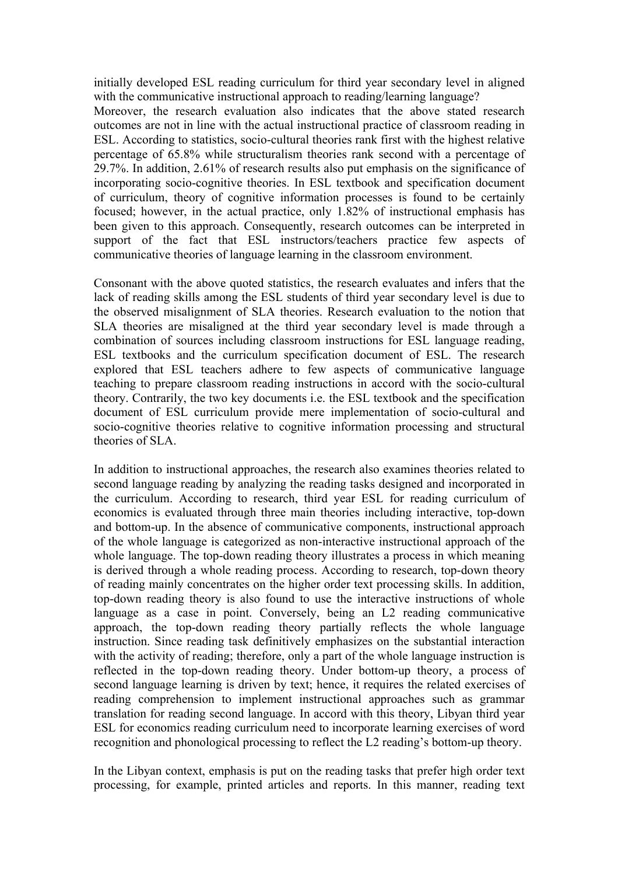initially developed ESL reading curriculum for third year secondary level in aligned with the communicative instructional approach to reading/learning language? Moreover, the research evaluation also indicates that the above stated research outcomes are not in line with the actual instructional practice of classroom reading in ESL. According to statistics, socio-cultural theories rank first with the highest relative percentage of 65.8% while structuralism theories rank second with a percentage of 29.7%. In addition, 2.61% of research results also put emphasis on the significance of incorporating socio-cognitive theories. In ESL textbook and specification document of curriculum, theory of cognitive information processes is found to be certainly focused; however, in the actual practice, only 1.82% of instructional emphasis has been given to this approach. Consequently, research outcomes can be interpreted in support of the fact that ESL instructors/teachers practice few aspects of communicative theories of language learning in the classroom environment.

Consonant with the above quoted statistics, the research evaluates and infers that the lack of reading skills among the ESL students of third year secondary level is due to the observed misalignment of SLA theories. Research evaluation to the notion that SLA theories are misaligned at the third year secondary level is made through a combination of sources including classroom instructions for ESL language reading, ESL textbooks and the curriculum specification document of ESL. The research explored that ESL teachers adhere to few aspects of communicative language teaching to prepare classroom reading instructions in accord with the socio-cultural theory. Contrarily, the two key documents i.e. the ESL textbook and the specification document of ESL curriculum provide mere implementation of socio-cultural and socio-cognitive theories relative to cognitive information processing and structural theories of SLA.

In addition to instructional approaches, the research also examines theories related to second language reading by analyzing the reading tasks designed and incorporated in the curriculum. According to research, third year ESL for reading curriculum of economics is evaluated through three main theories including interactive, top-down and bottom-up. In the absence of communicative components, instructional approach of the whole language is categorized as non-interactive instructional approach of the whole language. The top-down reading theory illustrates a process in which meaning is derived through a whole reading process. According to research, top-down theory of reading mainly concentrates on the higher order text processing skills. In addition, top-down reading theory is also found to use the interactive instructions of whole language as a case in point. Conversely, being an L2 reading communicative approach, the top-down reading theory partially reflects the whole language instruction. Since reading task definitively emphasizes on the substantial interaction with the activity of reading; therefore, only a part of the whole language instruction is reflected in the top-down reading theory. Under bottom-up theory, a process of second language learning is driven by text; hence, it requires the related exercises of reading comprehension to implement instructional approaches such as grammar translation for reading second language. In accord with this theory, Libyan third year ESL for economics reading curriculum need to incorporate learning exercises of word recognition and phonological processing to reflect the L2 reading's bottom-up theory.

In the Libyan context, emphasis is put on the reading tasks that prefer high order text processing, for example, printed articles and reports. In this manner, reading text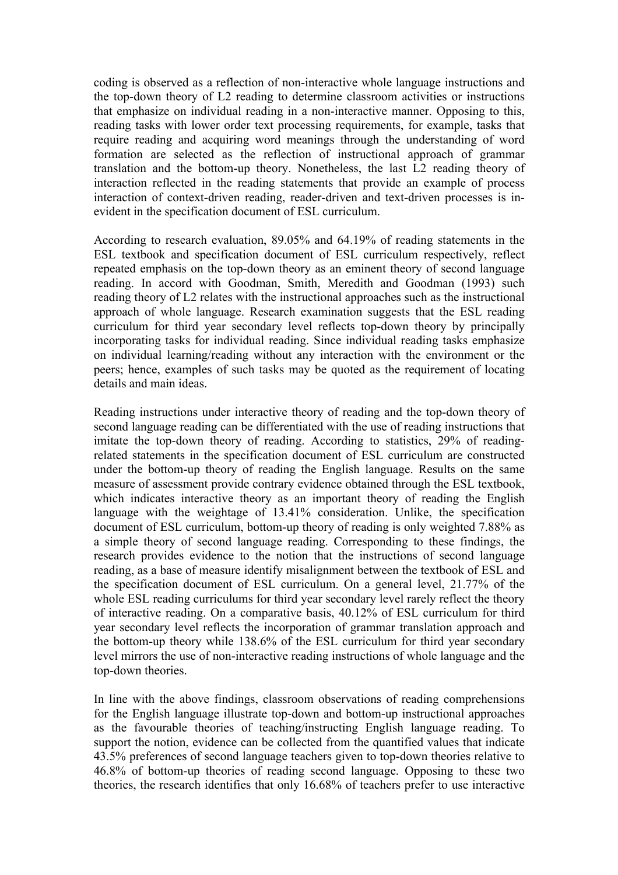coding is observed as a reflection of non-interactive whole language instructions and the top-down theory of L2 reading to determine classroom activities or instructions that emphasize on individual reading in a non-interactive manner. Opposing to this, reading tasks with lower order text processing requirements, for example, tasks that require reading and acquiring word meanings through the understanding of word formation are selected as the reflection of instructional approach of grammar translation and the bottom-up theory. Nonetheless, the last L2 reading theory of interaction reflected in the reading statements that provide an example of process interaction of context-driven reading, reader-driven and text-driven processes is inevident in the specification document of ESL curriculum.

According to research evaluation, 89.05% and 64.19% of reading statements in the ESL textbook and specification document of ESL curriculum respectively, reflect repeated emphasis on the top-down theory as an eminent theory of second language reading. In accord with Goodman, Smith, Meredith and Goodman (1993) such reading theory of L2 relates with the instructional approaches such as the instructional approach of whole language. Research examination suggests that the ESL reading curriculum for third year secondary level reflects top-down theory by principally incorporating tasks for individual reading. Since individual reading tasks emphasize on individual learning/reading without any interaction with the environment or the peers; hence, examples of such tasks may be quoted as the requirement of locating details and main ideas.

Reading instructions under interactive theory of reading and the top-down theory of second language reading can be differentiated with the use of reading instructions that imitate the top-down theory of reading. According to statistics, 29% of readingrelated statements in the specification document of ESL curriculum are constructed under the bottom-up theory of reading the English language. Results on the same measure of assessment provide contrary evidence obtained through the ESL textbook, which indicates interactive theory as an important theory of reading the English language with the weightage of 13.41% consideration. Unlike, the specification document of ESL curriculum, bottom-up theory of reading is only weighted 7.88% as a simple theory of second language reading. Corresponding to these findings, the research provides evidence to the notion that the instructions of second language reading, as a base of measure identify misalignment between the textbook of ESL and the specification document of ESL curriculum. On a general level, 21.77% of the whole ESL reading curriculums for third year secondary level rarely reflect the theory of interactive reading. On a comparative basis, 40.12% of ESL curriculum for third year secondary level reflects the incorporation of grammar translation approach and the bottom-up theory while 138.6% of the ESL curriculum for third year secondary level mirrors the use of non-interactive reading instructions of whole language and the top-down theories.

In line with the above findings, classroom observations of reading comprehensions for the English language illustrate top-down and bottom-up instructional approaches as the favourable theories of teaching/instructing English language reading. To support the notion, evidence can be collected from the quantified values that indicate 43.5% preferences of second language teachers given to top-down theories relative to 46.8% of bottom-up theories of reading second language. Opposing to these two theories, the research identifies that only 16.68% of teachers prefer to use interactive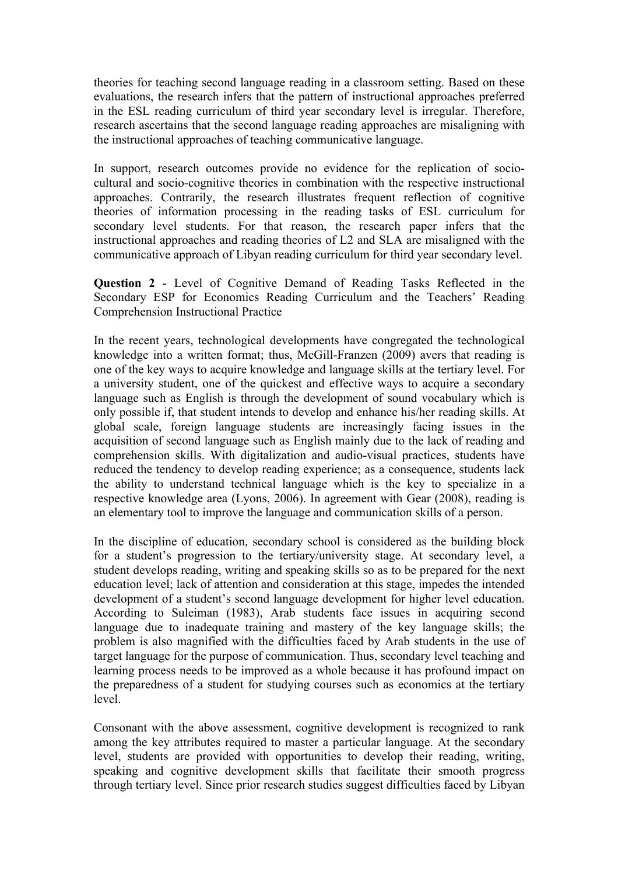theories for teaching second language reading in a classroom setting. Based on these evaluations, the research infers that the pattern of instructional approaches preferred in the ESL reading curriculum of third year secondary level is irregular. Therefore, research ascertains that the second language reading approaches are misaligning with the instructional approaches of teaching communicative language.

In support, research outcomes provide no evidence for the replication of sociocultural and socio-cognitive theories in combination with the respective instructional approaches. Contrarily, the research illustrates frequent reflection of cognitive theories of information processing in the reading tasks of ESL curriculum for secondary level students. For that reason, the research paper infers that the instructional approaches and reading theories of L2 and SLA are misaligned with the communicative approach of Libyan reading curriculum for third year secondary level.

**Question 2** - Level of Cognitive Demand of Reading Tasks Reflected in the Secondary ESP for Economics Reading Curriculum and the Teachers' Reading Comprehension Instructional Practice

In the recent years, technological developments have congregated the technological knowledge into a written format; thus, McGill-Franzen (2009) avers that reading is one of the key ways to acquire knowledge and language skills at the tertiary level. For a university student, one of the quickest and effective ways to acquire a secondary language such as English is through the development of sound vocabulary which is only possible if, that student intends to develop and enhance his/her reading skills. At global scale, foreign language students are increasingly facing issues in the acquisition of second language such as English mainly due to the lack of reading and comprehension skills. With digitalization and audio-visual practices, students have reduced the tendency to develop reading experience; as a consequence, students lack the ability to understand technical language which is the key to specialize in a respective knowledge area (Lyons, 2006). In agreement with Gear (2008), reading is an elementary tool to improve the language and communication skills of a person.

In the discipline of education, secondary school is considered as the building block for a student's progression to the tertiary/university stage. At secondary level, a student develops reading, writing and speaking skills so as to be prepared for the next education level; lack of attention and consideration at this stage, impedes the intended development of a student's second language development for higher level education. According to Suleiman (1983), Arab students face issues in acquiring second language due to inadequate training and mastery of the key language skills; the problem is also magnified with the difficulties faced by Arab students in the use of target language for the purpose of communication. Thus, secondary level teaching and learning process needs to be improved as a whole because it has profound impact on the preparedness of a student for studying courses such as economics at the tertiary level.

Consonant with the above assessment, cognitive development is recognized to rank among the key attributes required to master a particular language. At the secondary level, students are provided with opportunities to develop their reading, writing, speaking and cognitive development skills that facilitate their smooth progress through tertiary level. Since prior research studies suggest difficulties faced by Libyan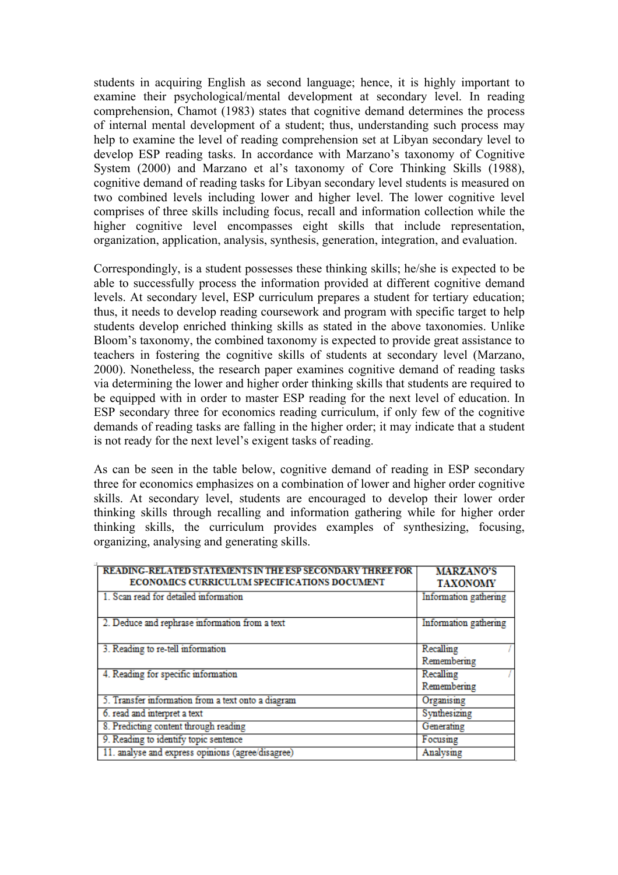students in acquiring English as second language; hence, it is highly important to examine their psychological/mental development at secondary level. In reading comprehension, Chamot (1983) states that cognitive demand determines the process of internal mental development of a student; thus, understanding such process may help to examine the level of reading comprehension set at Libyan secondary level to develop ESP reading tasks. In accordance with Marzano's taxonomy of Cognitive System (2000) and Marzano et al's taxonomy of Core Thinking Skills (1988), cognitive demand of reading tasks for Libyan secondary level students is measured on two combined levels including lower and higher level. The lower cognitive level comprises of three skills including focus, recall and information collection while the higher cognitive level encompasses eight skills that include representation, organization, application, analysis, synthesis, generation, integration, and evaluation.

Correspondingly, is a student possesses these thinking skills; he/she is expected to be able to successfully process the information provided at different cognitive demand levels. At secondary level, ESP curriculum prepares a student for tertiary education; thus, it needs to develop reading coursework and program with specific target to help students develop enriched thinking skills as stated in the above taxonomies. Unlike Bloom's taxonomy, the combined taxonomy is expected to provide great assistance to teachers in fostering the cognitive skills of students at secondary level (Marzano, 2000). Nonetheless, the research paper examines cognitive demand of reading tasks via determining the lower and higher order thinking skills that students are required to be equipped with in order to master ESP reading for the next level of education. In ESP secondary three for economics reading curriculum, if only few of the cognitive demands of reading tasks are falling in the higher order; it may indicate that a student is not ready for the next level's exigent tasks of reading.

As can be seen in the table below, cognitive demand of reading in ESP secondary three for economics emphasizes on a combination of lower and higher order cognitive skills. At secondary level, students are encouraged to develop their lower order thinking skills through recalling and information gathering while for higher order thinking skills, the curriculum provides examples of synthesizing, focusing, organizing, analysing and generating skills.

| READING-RELATED STATEMENTS IN THE ESP SECONDARY THREE FOR<br>ECONOMICS CURRICULUM SPECIFICATIONS DOCUMENT | <b>MARZANO'S</b><br><b>TAXONOMY</b> |
|-----------------------------------------------------------------------------------------------------------|-------------------------------------|
| 1. Scan read for detailed information                                                                     | Information gathering               |
| 2. Deduce and rephrase information from a text                                                            | Information gathering               |
| 3. Reading to re-tell information                                                                         | Recalling<br>Remembering            |
| 4. Reading for specific information                                                                       | Recalling<br>Remembering            |
| 5. Transfer information from a text onto a diagram                                                        | Organising                          |
| 6. read and interpret a text                                                                              | Synthesizing                        |
| 8. Predicting content through reading                                                                     | Generating                          |
| 9. Reading to identify topic sentence                                                                     | Focusing                            |
| 11. analyse and express opinions (agree/disagree)                                                         | Analysing                           |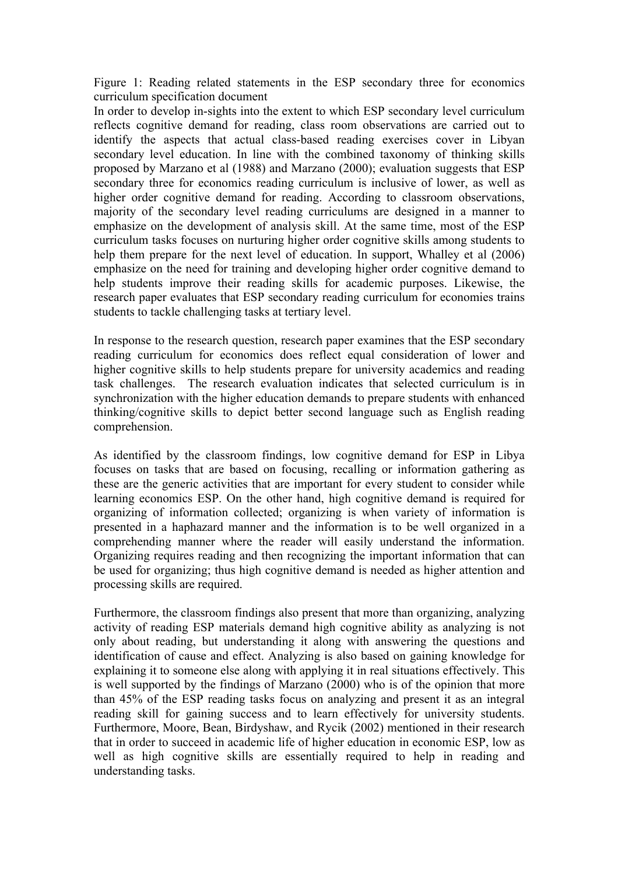Figure 1: Reading related statements in the ESP secondary three for economics curriculum specification document

In order to develop in-sights into the extent to which ESP secondary level curriculum reflects cognitive demand for reading, class room observations are carried out to identify the aspects that actual class-based reading exercises cover in Libyan secondary level education. In line with the combined taxonomy of thinking skills proposed by Marzano et al (1988) and Marzano (2000); evaluation suggests that ESP secondary three for economics reading curriculum is inclusive of lower, as well as higher order cognitive demand for reading. According to classroom observations, majority of the secondary level reading curriculums are designed in a manner to emphasize on the development of analysis skill. At the same time, most of the ESP curriculum tasks focuses on nurturing higher order cognitive skills among students to help them prepare for the next level of education. In support, Whalley et al (2006) emphasize on the need for training and developing higher order cognitive demand to help students improve their reading skills for academic purposes. Likewise, the research paper evaluates that ESP secondary reading curriculum for economies trains students to tackle challenging tasks at tertiary level.

In response to the research question, research paper examines that the ESP secondary reading curriculum for economics does reflect equal consideration of lower and higher cognitive skills to help students prepare for university academics and reading task challenges. The research evaluation indicates that selected curriculum is in synchronization with the higher education demands to prepare students with enhanced thinking/cognitive skills to depict better second language such as English reading comprehension.

As identified by the classroom findings, low cognitive demand for ESP in Libya focuses on tasks that are based on focusing, recalling or information gathering as these are the generic activities that are important for every student to consider while learning economics ESP. On the other hand, high cognitive demand is required for organizing of information collected; organizing is when variety of information is presented in a haphazard manner and the information is to be well organized in a comprehending manner where the reader will easily understand the information. Organizing requires reading and then recognizing the important information that can be used for organizing; thus high cognitive demand is needed as higher attention and processing skills are required.

Furthermore, the classroom findings also present that more than organizing, analyzing activity of reading ESP materials demand high cognitive ability as analyzing is not only about reading, but understanding it along with answering the questions and identification of cause and effect. Analyzing is also based on gaining knowledge for explaining it to someone else along with applying it in real situations effectively. This is well supported by the findings of Marzano (2000) who is of the opinion that more than 45% of the ESP reading tasks focus on analyzing and present it as an integral reading skill for gaining success and to learn effectively for university students. Furthermore, Moore, Bean, Birdyshaw, and Rycik (2002) mentioned in their research that in order to succeed in academic life of higher education in economic ESP, low as well as high cognitive skills are essentially required to help in reading and understanding tasks.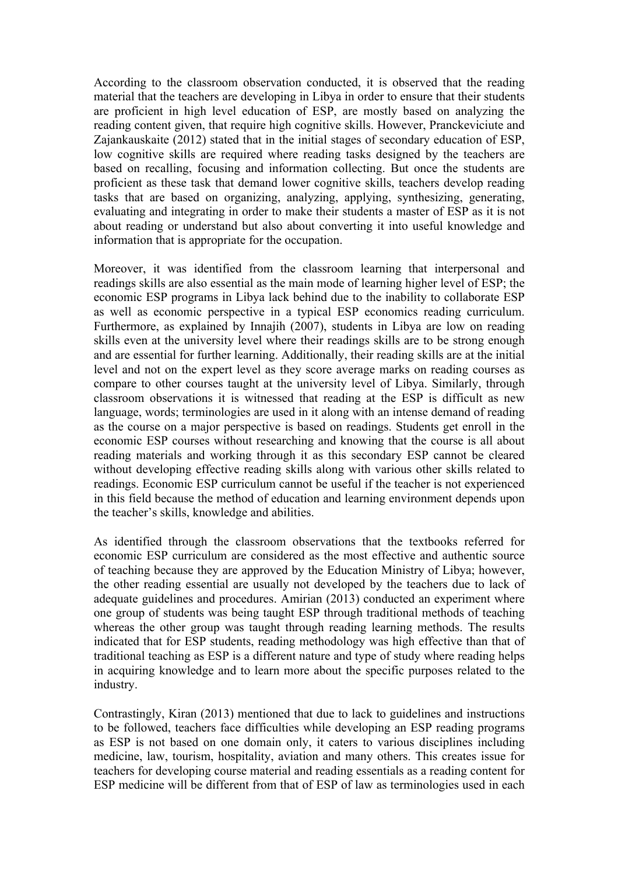According to the classroom observation conducted, it is observed that the reading material that the teachers are developing in Libya in order to ensure that their students are proficient in high level education of ESP, are mostly based on analyzing the reading content given, that require high cognitive skills. However, Pranckeviciute and Zajankauskaite (2012) stated that in the initial stages of secondary education of ESP, low cognitive skills are required where reading tasks designed by the teachers are based on recalling, focusing and information collecting. But once the students are proficient as these task that demand lower cognitive skills, teachers develop reading tasks that are based on organizing, analyzing, applying, synthesizing, generating, evaluating and integrating in order to make their students a master of ESP as it is not about reading or understand but also about converting it into useful knowledge and information that is appropriate for the occupation.

Moreover, it was identified from the classroom learning that interpersonal and readings skills are also essential as the main mode of learning higher level of ESP; the economic ESP programs in Libya lack behind due to the inability to collaborate ESP as well as economic perspective in a typical ESP economics reading curriculum. Furthermore, as explained by Innajih (2007), students in Libya are low on reading skills even at the university level where their readings skills are to be strong enough and are essential for further learning. Additionally, their reading skills are at the initial level and not on the expert level as they score average marks on reading courses as compare to other courses taught at the university level of Libya. Similarly, through classroom observations it is witnessed that reading at the ESP is difficult as new language, words; terminologies are used in it along with an intense demand of reading as the course on a major perspective is based on readings. Students get enroll in the economic ESP courses without researching and knowing that the course is all about reading materials and working through it as this secondary ESP cannot be cleared without developing effective reading skills along with various other skills related to readings. Economic ESP curriculum cannot be useful if the teacher is not experienced in this field because the method of education and learning environment depends upon the teacher's skills, knowledge and abilities.

As identified through the classroom observations that the textbooks referred for economic ESP curriculum are considered as the most effective and authentic source of teaching because they are approved by the Education Ministry of Libya; however, the other reading essential are usually not developed by the teachers due to lack of adequate guidelines and procedures. Amirian (2013) conducted an experiment where one group of students was being taught ESP through traditional methods of teaching whereas the other group was taught through reading learning methods. The results indicated that for ESP students, reading methodology was high effective than that of traditional teaching as ESP is a different nature and type of study where reading helps in acquiring knowledge and to learn more about the specific purposes related to the industry.

Contrastingly, Kiran (2013) mentioned that due to lack to guidelines and instructions to be followed, teachers face difficulties while developing an ESP reading programs as ESP is not based on one domain only, it caters to various disciplines including medicine, law, tourism, hospitality, aviation and many others. This creates issue for teachers for developing course material and reading essentials as a reading content for ESP medicine will be different from that of ESP of law as terminologies used in each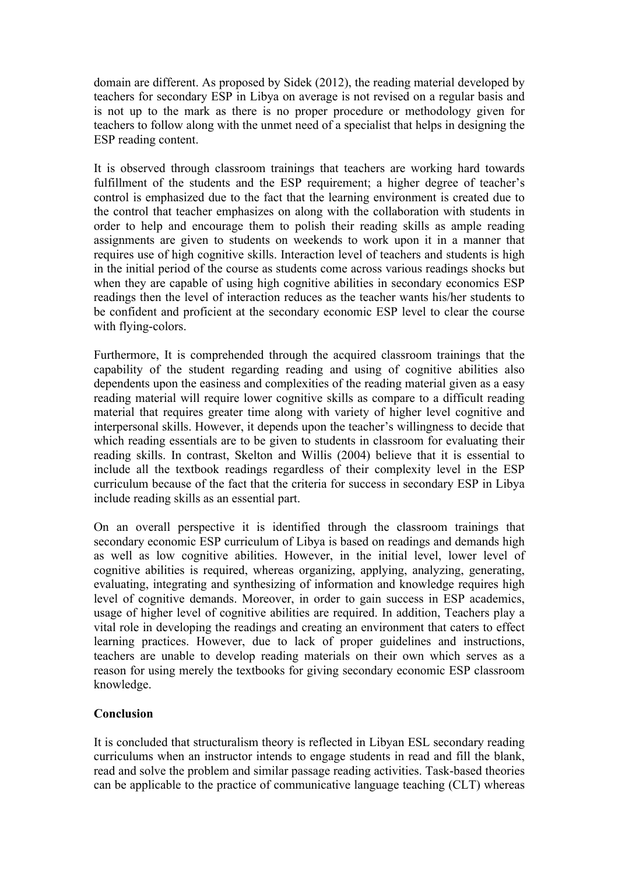domain are different. As proposed by Sidek (2012), the reading material developed by teachers for secondary ESP in Libya on average is not revised on a regular basis and is not up to the mark as there is no proper procedure or methodology given for teachers to follow along with the unmet need of a specialist that helps in designing the ESP reading content.

It is observed through classroom trainings that teachers are working hard towards fulfillment of the students and the ESP requirement; a higher degree of teacher's control is emphasized due to the fact that the learning environment is created due to the control that teacher emphasizes on along with the collaboration with students in order to help and encourage them to polish their reading skills as ample reading assignments are given to students on weekends to work upon it in a manner that requires use of high cognitive skills. Interaction level of teachers and students is high in the initial period of the course as students come across various readings shocks but when they are capable of using high cognitive abilities in secondary economics ESP readings then the level of interaction reduces as the teacher wants his/her students to be confident and proficient at the secondary economic ESP level to clear the course with flying-colors.

Furthermore, It is comprehended through the acquired classroom trainings that the capability of the student regarding reading and using of cognitive abilities also dependents upon the easiness and complexities of the reading material given as a easy reading material will require lower cognitive skills as compare to a difficult reading material that requires greater time along with variety of higher level cognitive and interpersonal skills. However, it depends upon the teacher's willingness to decide that which reading essentials are to be given to students in classroom for evaluating their reading skills. In contrast, Skelton and Willis (2004) believe that it is essential to include all the textbook readings regardless of their complexity level in the ESP curriculum because of the fact that the criteria for success in secondary ESP in Libya include reading skills as an essential part.

On an overall perspective it is identified through the classroom trainings that secondary economic ESP curriculum of Libya is based on readings and demands high as well as low cognitive abilities. However, in the initial level, lower level of cognitive abilities is required, whereas organizing, applying, analyzing, generating, evaluating, integrating and synthesizing of information and knowledge requires high level of cognitive demands. Moreover, in order to gain success in ESP academics, usage of higher level of cognitive abilities are required. In addition, Teachers play a vital role in developing the readings and creating an environment that caters to effect learning practices. However, due to lack of proper guidelines and instructions, teachers are unable to develop reading materials on their own which serves as a reason for using merely the textbooks for giving secondary economic ESP classroom knowledge.

# **Conclusion**

It is concluded that structuralism theory is reflected in Libyan ESL secondary reading curriculums when an instructor intends to engage students in read and fill the blank, read and solve the problem and similar passage reading activities. Task-based theories can be applicable to the practice of communicative language teaching (CLT) whereas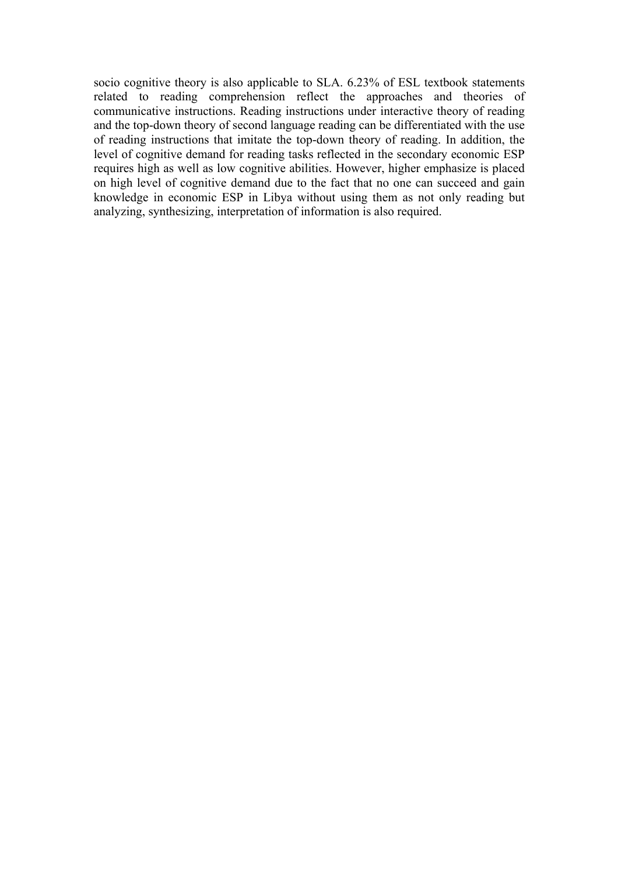socio cognitive theory is also applicable to SLA. 6.23% of ESL textbook statements related to reading comprehension reflect the approaches and theories of communicative instructions. Reading instructions under interactive theory of reading and the top-down theory of second language reading can be differentiated with the use of reading instructions that imitate the top-down theory of reading. In addition, the level of cognitive demand for reading tasks reflected in the secondary economic ESP requires high as well as low cognitive abilities. However, higher emphasize is placed on high level of cognitive demand due to the fact that no one can succeed and gain knowledge in economic ESP in Libya without using them as not only reading but analyzing, synthesizing, interpretation of information is also required.